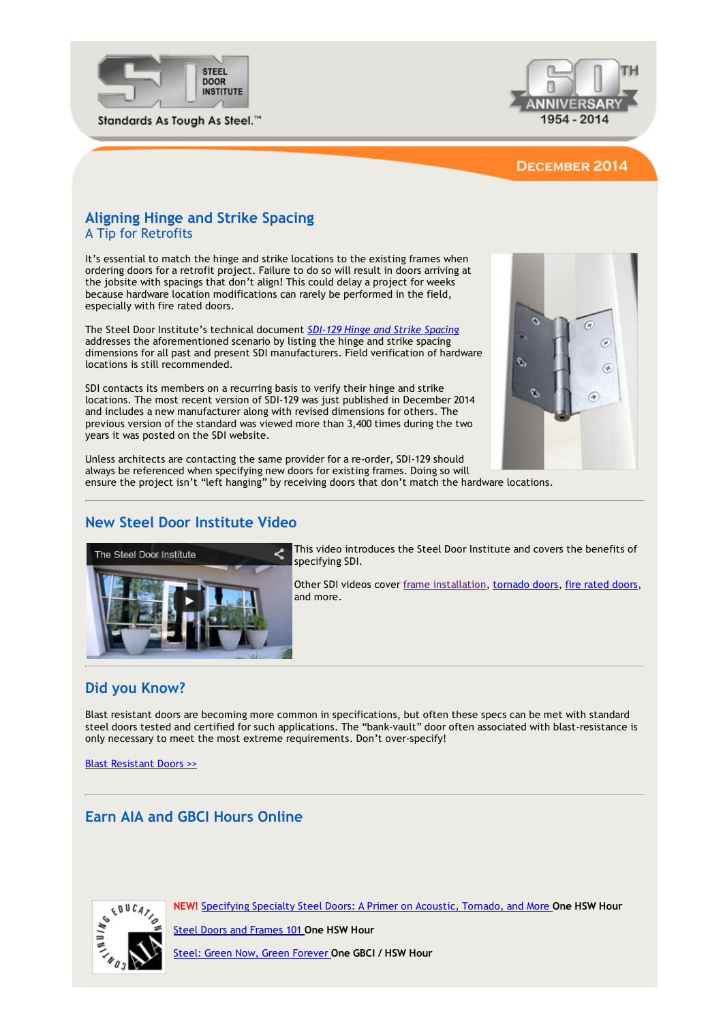



### DECEMBER 2014

### Aligning Hinge and Strike Spacing A Tip for Retrofits

It's essential to match the hinge and strike locations to the existing frames when ordering doors for a retrofit project. Failure to do so will result in doors arriving at the jobsite with spacings that don't align! This could delay a project for weeks because hardware location modifications can rarely be performed in the field, especially with fire rated doors.

The Steel Door Institute's technical document *SDI‐129 Hinge and Strike [Spacing](http://www.steeldoor.org/T-DOC/SDI-129.php)* addresses the aforementioned scenario by listing the hinge and strike spacing dimensions for all past and present SDI manufacturers. Field verification of hardware locations is still recommended.

SDI contacts its members on a recurring basis to verify their hinge and strike locations. The most recent version of SDI‐129 was just published in December 2014 and includes a new manufacturer along with revised dimensions for others. The previous version of the standard was viewed more than 3,400 times during the two years it was posted on the SDI website.



Unless architects are contacting the same provider for a re‐order, SDI‐129 should always be referenced when specifying new doors for existing frames. Doing so will ensure the project isn't "left hanging" by receiving doors that don't match the hardware locations.

## New Steel Door Institute Video



This video introduces the Steel Door Institute and covers the benefits of specifying SDI.

Other SDI videos cover frame [installation](http://www.steeldoor.org/videos.php#SteelStudFrame), [tornado](http://www.steeldoor.org/videos.php#tornado) [doors](http://www.steeldoor.org/videos.php#FireRated), fire rated doors, and more.

### Did you Know?

Blast resistant doors are becoming more common in specifications, but often these specs can be met with standard steel doors tested and certified for such applications. The "bank-vault" door often associated with blast-resistance is only necessary to meet the most extreme requirements. Don't over‐specify!

Blast [Resistant](http://www.steeldoor.org/blastdoors.php) Doors >>

# Earn AIA and GBCI Hours Online



NEW! [Specifying](http://www.ronblank.com/cgi-bin/info.pl?action=course&id=245) Specialty Steel Doors: A Primer on Acoustic, Tornado, and More One HSW Hour

**Steel Doors and [Frames](http://ronblank.com/cgi-bin/info.pl?action=course&id=239) 101 One HSW Hour** 

Steel: Green Now, Green [Forever](http://greence.com/cgi-bin/info.pl?action=course&id=115) One GBCI / HSW Hour